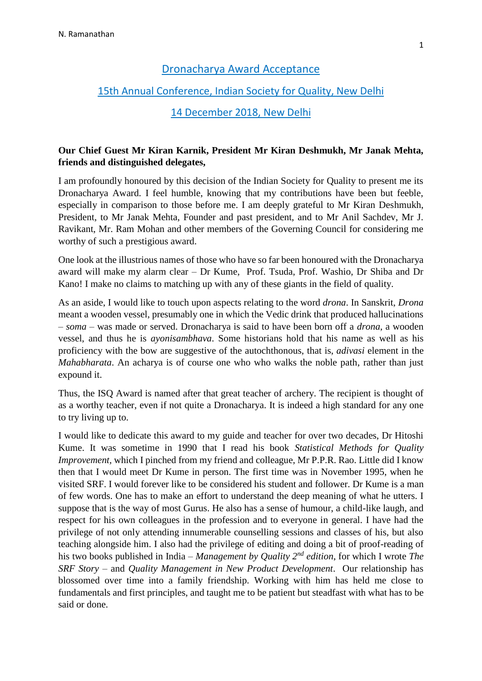#### Dronacharya Award Acceptance

#### 15th Annual Conference, Indian Society for Quality, New Delhi

### 14 December 2018, New Delhi

#### **Our Chief Guest Mr Kiran Karnik, President Mr Kiran Deshmukh, Mr Janak Mehta, friends and distinguished delegates,**

I am profoundly honoured by this decision of the Indian Society for Quality to present me its Dronacharya Award. I feel humble, knowing that my contributions have been but feeble, especially in comparison to those before me. I am deeply grateful to Mr Kiran Deshmukh, President, to Mr Janak Mehta, Founder and past president, and to Mr Anil Sachdev, Mr J. Ravikant, Mr. Ram Mohan and other members of the Governing Council for considering me worthy of such a prestigious award.

One look at the illustrious names of those who have so far been honoured with the Dronacharya award will make my alarm clear – Dr Kume, Prof. Tsuda, Prof. Washio, Dr Shiba and Dr Kano! I make no claims to matching up with any of these giants in the field of quality.

As an aside, I would like to touch upon aspects relating to the word *drona*. In Sanskrit, *Drona* meant a wooden vessel, presumably one in which the Vedic drink that produced hallucinations – *soma* – was made or served. Dronacharya is said to have been born off a *drona*, a wooden vessel, and thus he is *ayonisambhava*. Some historians hold that his name as well as his proficiency with the bow are suggestive of the autochthonous, that is, *adivasi* element in the *Mahabharata*. An acharya is of course one who who walks the noble path, rather than just expound it.

Thus, the ISQ Award is named after that great teacher of archery. The recipient is thought of as a worthy teacher, even if not quite a Dronacharya. It is indeed a high standard for any one to try living up to.

I would like to dedicate this award to my guide and teacher for over two decades, Dr Hitoshi Kume. It was sometime in 1990 that I read his book *Statistical Methods for Quality Improvement*, which I pinched from my friend and colleague, Mr P.P.R. Rao. Little did I know then that I would meet Dr Kume in person. The first time was in November 1995, when he visited SRF. I would forever like to be considered his student and follower. Dr Kume is a man of few words. One has to make an effort to understand the deep meaning of what he utters. I suppose that is the way of most Gurus. He also has a sense of humour, a child-like laugh, and respect for his own colleagues in the profession and to everyone in general. I have had the privilege of not only attending innumerable counselling sessions and classes of his, but also teaching alongside him. I also had the privilege of editing and doing a bit of proof-reading of his two books published in India – *Management by Quality 2nd edition*, for which I wrote *The SRF Story* – and *Quality Management in New Product Development*. Our relationship has blossomed over time into a family friendship. Working with him has held me close to fundamentals and first principles, and taught me to be patient but steadfast with what has to be said or done.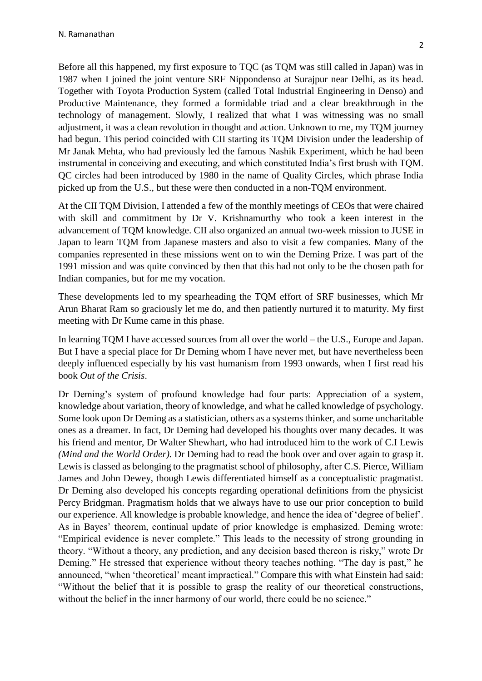Before all this happened, my first exposure to TQC (as TQM was still called in Japan) was in 1987 when I joined the joint venture SRF Nippondenso at Surajpur near Delhi, as its head. Together with Toyota Production System (called Total Industrial Engineering in Denso) and Productive Maintenance, they formed a formidable triad and a clear breakthrough in the technology of management. Slowly, I realized that what I was witnessing was no small adjustment, it was a clean revolution in thought and action. Unknown to me, my TQM journey had begun. This period coincided with CII starting its TQM Division under the leadership of Mr Janak Mehta, who had previously led the famous Nashik Experiment, which he had been instrumental in conceiving and executing, and which constituted India's first brush with TQM. QC circles had been introduced by 1980 in the name of Quality Circles, which phrase India picked up from the U.S., but these were then conducted in a non-TQM environment.

At the CII TQM Division, I attended a few of the monthly meetings of CEOs that were chaired with skill and commitment by Dr V. Krishnamurthy who took a keen interest in the advancement of TQM knowledge. CII also organized an annual two-week mission to JUSE in Japan to learn TQM from Japanese masters and also to visit a few companies. Many of the companies represented in these missions went on to win the Deming Prize. I was part of the 1991 mission and was quite convinced by then that this had not only to be the chosen path for Indian companies, but for me my vocation.

These developments led to my spearheading the TQM effort of SRF businesses, which Mr Arun Bharat Ram so graciously let me do, and then patiently nurtured it to maturity. My first meeting with Dr Kume came in this phase.

In learning TQM I have accessed sources from all over the world – the U.S., Europe and Japan. But I have a special place for Dr Deming whom I have never met, but have nevertheless been deeply influenced especially by his vast humanism from 1993 onwards, when I first read his book *Out of the Crisis*.

Dr Deming's system of profound knowledge had four parts: Appreciation of a system, knowledge about variation, theory of knowledge, and what he called knowledge of psychology. Some look upon Dr Deming as a statistician, others as a systems thinker, and some uncharitable ones as a dreamer. In fact, Dr Deming had developed his thoughts over many decades. It was his friend and mentor, Dr Walter Shewhart, who had introduced him to the work of C.I Lewis *(Mind and the World Order).* Dr Deming had to read the book over and over again to grasp it. Lewis is classed as belonging to the pragmatist school of philosophy, after C.S. Pierce, William James and John Dewey, though Lewis differentiated himself as a conceptualistic pragmatist. Dr Deming also developed his concepts regarding operational definitions from the physicist Percy Bridgman. Pragmatism holds that we always have to use our prior conception to build our experience. All knowledge is probable knowledge, and hence the idea of 'degree of belief'. As in Bayes' theorem, continual update of prior knowledge is emphasized. Deming wrote: "Empirical evidence is never complete." This leads to the necessity of strong grounding in theory. "Without a theory, any prediction, and any decision based thereon is risky," wrote Dr Deming." He stressed that experience without theory teaches nothing. "The day is past," he announced, "when 'theoretical' meant impractical." Compare this with what Einstein had said: "Without the belief that it is possible to grasp the reality of our theoretical constructions, without the belief in the inner harmony of our world, there could be no science."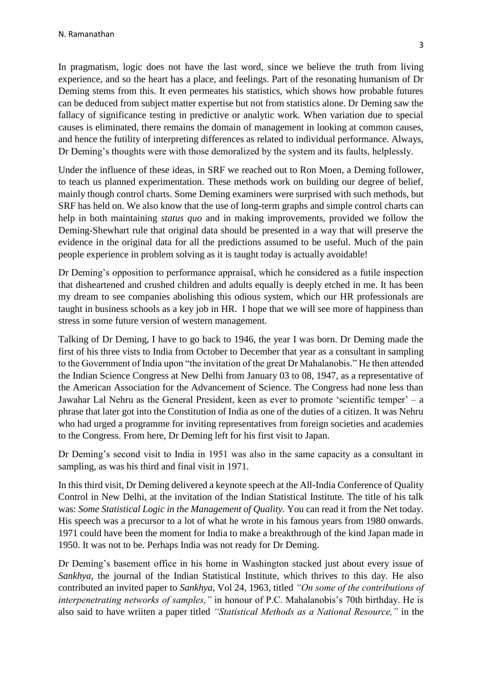In pragmatism, logic does not have the last word, since we believe the truth from living experience, and so the heart has a place, and feelings. Part of the resonating humanism of Dr Deming stems from this. It even permeates his statistics, which shows how probable futures can be deduced from subject matter expertise but not from statistics alone. Dr Deming saw the fallacy of significance testing in predictive or analytic work. When variation due to special causes is eliminated, there remains the domain of management in looking at common causes, and hence the futility of interpreting differences as related to individual performance. Always, Dr Deming's thoughts were with those demoralized by the system and its faults, helplessly.

Under the influence of these ideas, in SRF we reached out to Ron Moen, a Deming follower, to teach us planned experimentation. These methods work on building our degree of belief, mainly though control charts. Some Deming examiners were surprised with such methods, but SRF has held on. We also know that the use of long-term graphs and simple control charts can help in both maintaining *status quo* and in making improvements, provided we follow the Deming-Shewhart rule that original data should be presented in a way that will preserve the evidence in the original data for all the predictions assumed to be useful. Much of the pain people experience in problem solving as it is taught today is actually avoidable!

Dr Deming's opposition to performance appraisal, which he considered as a futile inspection that disheartened and crushed children and adults equally is deeply etched in me. It has been my dream to see companies abolishing this odious system, which our HR professionals are taught in business schools as a key job in HR. I hope that we will see more of happiness than stress in some future version of western management.

Talking of Dr Deming, I have to go back to 1946, the year I was born. Dr Deming made the first of his three vists to India from October to December that year as a consultant in sampling to the Government of India upon "the invitation of the great Dr Mahalanobis." He then attended the Indian Science Congress at New Delhi from January 03 to 08, 1947, as a representative of the American Association for the Advancement of Science. The Congress had none less than Jawahar Lal Nehru as the General President, keen as ever to promote 'scientific temper' – a phrase that later got into the Constitution of India as one of the duties of a citizen. It was Nehru who had urged a programme for inviting representatives from foreign societies and academies to the Congress. From here, Dr Deming left for his first visit to Japan.

Dr Deming's second visit to India in 1951 was also in the same capacity as a consultant in sampling, as was his third and final visit in 1971.

In this third visit, Dr Deming delivered a keynote speech at the All-India Conference of Quality Control in New Delhi, at the invitation of the Indian Statistical Institute. The title of his talk was: *Some Statistical Logic in the Management of Quality.* You can read it from the Net today. His speech was a precursor to a lot of what he wrote in his famous years from 1980 onwards. 1971 could have been the moment for India to make a breakthrough of the kind Japan made in 1950. It was not to be. Perhaps India was not ready for Dr Deming.

Dr Deming's basement office in his home in Washington stacked just about every issue of *Sankhya*, the journal of the Indian Statistical Institute, which thrives to this day. He also contributed an invited paper to *Sankhya*, Vol 24, 1963, titled *"On some of the contributions of interpenetrating networks of samples,"* in honour of P.C. Mahalanobis's 70th birthday. He is also said to have wriiten a paper titled *"Statistical Methods as a National Resource,"* in the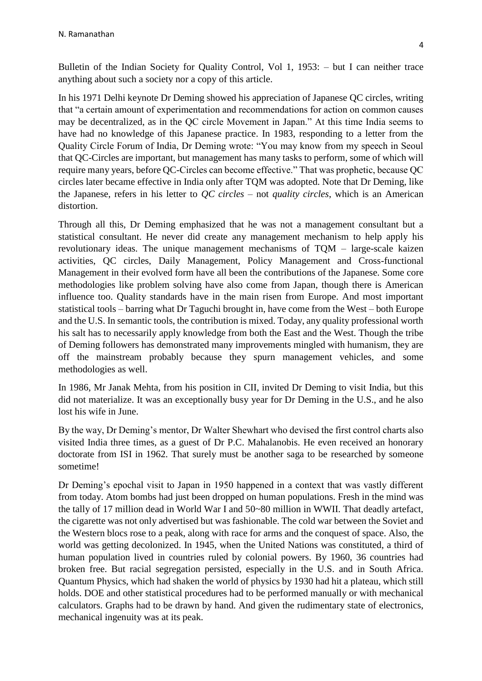Bulletin of the Indian Society for Quality Control, Vol 1, 1953: – but I can neither trace anything about such a society nor a copy of this article.

In his 1971 Delhi keynote Dr Deming showed his appreciation of Japanese QC circles, writing that "a certain amount of experimentation and recommendations for action on common causes may be decentralized, as in the QC circle Movement in Japan." At this time India seems to have had no knowledge of this Japanese practice. In 1983, responding to a letter from the Quality Circle Forum of India, Dr Deming wrote: "You may know from my speech in Seoul that QC-Circles are important, but management has many tasks to perform, some of which will require many years, before QC-Circles can become effective." That was prophetic, because QC circles later became effective in India only after TQM was adopted. Note that Dr Deming, like the Japanese, refers in his letter to *QC circles* – not *quality circles*, which is an American distortion.

Through all this, Dr Deming emphasized that he was not a management consultant but a statistical consultant. He never did create any management mechanism to help apply his revolutionary ideas. The unique management mechanisms of TQM – large-scale kaizen activities, QC circles, Daily Management, Policy Management and Cross-functional Management in their evolved form have all been the contributions of the Japanese. Some core methodologies like problem solving have also come from Japan, though there is American influence too. Quality standards have in the main risen from Europe. And most important statistical tools – barring what Dr Taguchi brought in, have come from the West – both Europe and the U.S. In semantic tools, the contribution is mixed. Today, any quality professional worth his salt has to necessarily apply knowledge from both the East and the West. Though the tribe of Deming followers has demonstrated many improvements mingled with humanism, they are off the mainstream probably because they spurn management vehicles, and some methodologies as well.

In 1986, Mr Janak Mehta, from his position in CII, invited Dr Deming to visit India, but this did not materialize. It was an exceptionally busy year for Dr Deming in the U.S., and he also lost his wife in June.

By the way, Dr Deming's mentor, Dr Walter Shewhart who devised the first control charts also visited India three times, as a guest of Dr P.C. Mahalanobis. He even received an honorary doctorate from ISI in 1962. That surely must be another saga to be researched by someone sometime!

Dr Deming's epochal visit to Japan in 1950 happened in a context that was vastly different from today. Atom bombs had just been dropped on human populations. Fresh in the mind was the tally of 17 million dead in World War I and 50~80 million in WWII. That deadly artefact, the cigarette was not only advertised but was fashionable. The cold war between the Soviet and the Western blocs rose to a peak, along with race for arms and the conquest of space. Also, the world was getting decolonized. In 1945, when the United Nations was constituted, a third of human population lived in countries ruled by colonial powers. By 1960, 36 countries had broken free. But racial segregation persisted, especially in the U.S. and in South Africa. Quantum Physics, which had shaken the world of physics by 1930 had hit a plateau, which still holds. DOE and other statistical procedures had to be performed manually or with mechanical calculators. Graphs had to be drawn by hand. And given the rudimentary state of electronics, mechanical ingenuity was at its peak.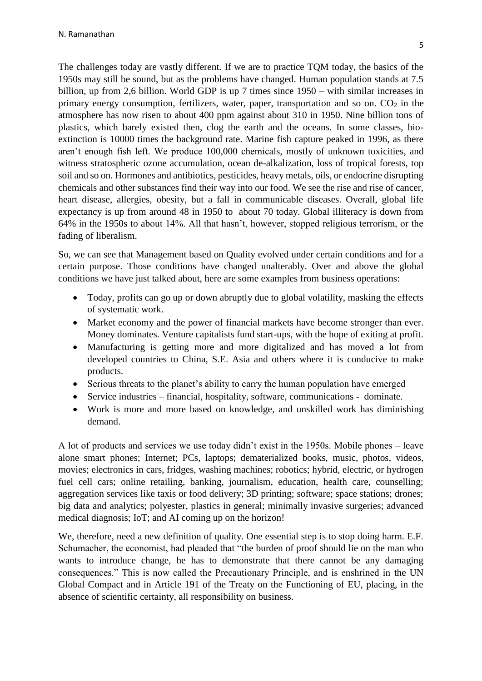The challenges today are vastly different. If we are to practice TQM today, the basics of the 1950s may still be sound, but as the problems have changed. Human population stands at 7.5 billion, up from 2,6 billion. World GDP is up 7 times since 1950 – with similar increases in primary energy consumption, fertilizers, water, paper, transportation and so on.  $CO<sub>2</sub>$  in the atmosphere has now risen to about 400 ppm against about 310 in 1950. Nine billion tons of plastics, which barely existed then, clog the earth and the oceans. In some classes, bioextinction is 10000 times the background rate. Marine fish capture peaked in 1996, as there aren't enough fish left. We produce 100,000 chemicals, mostly of unknown toxicities, and witness stratospheric ozone accumulation, ocean de-alkalization, loss of tropical forests, top soil and so on. Hormones and antibiotics, pesticides, heavy metals, oils, or endocrine disrupting chemicals and other substances find their way into our food. We see the rise and rise of cancer, heart disease, allergies, obesity, but a fall in communicable diseases. Overall, global life expectancy is up from around 48 in 1950 to about 70 today. Global illiteracy is down from 64% in the 1950s to about 14%. All that hasn't, however, stopped religious terrorism, or the fading of liberalism.

So, we can see that Management based on Quality evolved under certain conditions and for a certain purpose. Those conditions have changed unalterably. Over and above the global conditions we have just talked about, here are some examples from business operations:

- Today, profits can go up or down abruptly due to global volatility, masking the effects of systematic work.
- Market economy and the power of financial markets have become stronger than ever. Money dominates. Venture capitalists fund start-ups, with the hope of exiting at profit.
- Manufacturing is getting more and more digitalized and has moved a lot from developed countries to China, S.E. Asia and others where it is conducive to make products.
- Serious threats to the planet's ability to carry the human population have emerged
- Service industries financial, hospitality, software, communications dominate.
- Work is more and more based on knowledge, and unskilled work has diminishing demand.

A lot of products and services we use today didn't exist in the 1950s. Mobile phones – leave alone smart phones; Internet; PCs, laptops; dematerialized books, music, photos, videos, movies; electronics in cars, fridges, washing machines; robotics; hybrid, electric, or hydrogen fuel cell cars; online retailing, banking, journalism, education, health care, counselling; aggregation services like taxis or food delivery; 3D printing; software; space stations; drones; big data and analytics; polyester, plastics in general; minimally invasive surgeries; advanced medical diagnosis; IoT; and AI coming up on the horizon!

We, therefore, need a new definition of quality. One essential step is to stop doing harm. E.F. Schumacher, the economist, had pleaded that "the burden of proof should lie on the man who wants to introduce change, he has to demonstrate that there cannot be any damaging consequences." This is now called the Precautionary Principle, and is enshrined in the UN Global Compact and in Article 191 of the Treaty on the Functioning of EU, placing, in the absence of scientific certainty, all responsibility on business.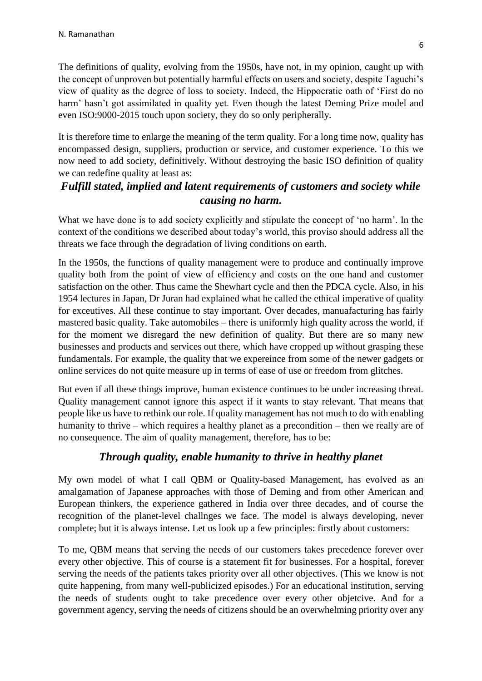The definitions of quality, evolving from the 1950s, have not, in my opinion, caught up with the concept of unproven but potentially harmful effects on users and society, despite Taguchi's view of quality as the degree of loss to society. Indeed, the Hippocratic oath of 'First do no harm' hasn't got assimilated in quality yet. Even though the latest Deming Prize model and even ISO:9000-2015 touch upon society, they do so only peripherally.

It is therefore time to enlarge the meaning of the term quality. For a long time now, quality has encompassed design, suppliers, production or service, and customer experience. To this we now need to add society, definitively. Without destroying the basic ISO definition of quality we can redefine quality at least as:

# *Fulfill stated, implied and latent requirements of customers and society while causing no harm.*

What we have done is to add society explicitly and stipulate the concept of 'no harm'. In the context of the conditions we described about today's world, this proviso should address all the threats we face through the degradation of living conditions on earth.

In the 1950s, the functions of quality management were to produce and continually improve quality both from the point of view of efficiency and costs on the one hand and customer satisfaction on the other. Thus came the Shewhart cycle and then the PDCA cycle. Also, in his 1954 lectures in Japan, Dr Juran had explained what he called the ethical imperative of quality for exceutives. All these continue to stay important. Over decades, manuafacturing has fairly mastered basic quality. Take automobiles – there is uniformly high quality across the world, if for the moment we disregard the new definition of quality. But there are so many new businesses and products and services out there, which have cropped up without grasping these fundamentals. For example, the quality that we expereince from some of the newer gadgets or online services do not quite measure up in terms of ease of use or freedom from glitches.

But even if all these things improve, human existence continues to be under increasing threat. Quality management cannot ignore this aspect if it wants to stay relevant. That means that people like us have to rethink our role. If quality management has not much to do with enabling humanity to thrive – which requires a healthy planet as a precondition – then we really are of no consequence. The aim of quality management, therefore, has to be:

## *Through quality, enable humanity to thrive in healthy planet*

My own model of what I call QBM or Quality-based Management, has evolved as an amalgamation of Japanese approaches with those of Deming and from other American and European thinkers, the experience gathered in India over three decades, and of course the recognition of the planet-level challnges we face. The model is always developing, never complete; but it is always intense. Let us look up a few principles: firstly about customers:

To me, QBM means that serving the needs of our customers takes precedence forever over every other objective. This of course is a statement fit for businesses. For a hospital, forever serving the needs of the patients takes priority over all other objectives. (This we know is not quite happening, from many well-publicized episodes.) For an educational institution, serving the needs of students ought to take precedence over every other objetcive. And for a government agency, serving the needs of citizens should be an overwhelming priority over any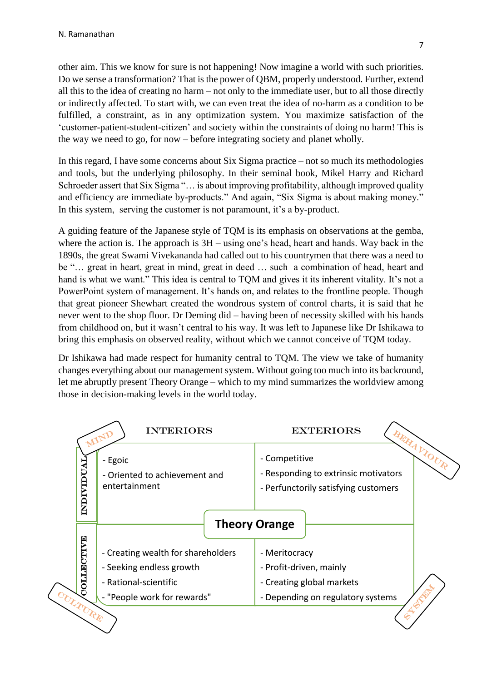other aim. This we know for sure is not happening! Now imagine a world with such priorities. Do we sense a transformation? That is the power of QBM, properly understood. Further, extend all this to the idea of creating no harm – not only to the immediate user, but to all those directly or indirectly affected. To start with, we can even treat the idea of no-harm as a condition to be fulfilled, a constraint, as in any optimization system. You maximize satisfaction of the 'customer-patient-student-citizen' and society within the constraints of doing no harm! This is the way we need to go, for now – before integrating society and planet wholly.

In this regard, I have some concerns about Six Sigma practice – not so much its methodologies and tools, but the underlying philosophy. In their seminal book, Mikel Harry and Richard Schroeder assert that Six Sigma "… is about improving profitability, although improved quality and efficiency are immediate by-products." And again, "Six Sigma is about making money." In this system, serving the customer is not paramount, it's a by-product.

A guiding feature of the Japanese style of TQM is its emphasis on observations at the gemba, where the action is. The approach is  $3H$  – using one's head, heart and hands. Way back in the 1890s, the great Swami Vivekananda had called out to his countrymen that there was a need to be "… great in heart, great in mind, great in deed … such a combination of head, heart and hand is what we want." This idea is central to TQM and gives it its inherent vitality. It's not a PowerPoint system of management. It's hands on, and relates to the frontline people. Though that great pioneer Shewhart created the wondrous system of control charts, it is said that he never went to the shop floor. Dr Deming did – having been of necessity skilled with his hands from childhood on, but it wasn't central to his way. It was left to Japanese like Dr Ishikawa to bring this emphasis on observed reality, without which we cannot conceive of TQM today.

Dr Ishikawa had made respect for humanity central to TQM. The view we take of humanity changes everything about our management system. Without going too much into its backround, let me abruptly present Theory Orange – which to my mind summarizes the worldview among those in decision-making levels in the world today.

|                   | <b>INTERIORS</b>                                          | <b>EXTERIORS</b>                                                                                                  |
|-------------------|-----------------------------------------------------------|-------------------------------------------------------------------------------------------------------------------|
| INDIVIDUAI        | - Egoic<br>- Oriented to achievement and<br>entertainment | <b>BERALIOUR</b><br>- Competitive<br>- Responding to extrinsic motivators<br>- Perfunctorily satisfying customers |
|                   |                                                           | <b>Theory Orange</b>                                                                                              |
| <b>MAILBOTIVE</b> | - Creating wealth for shareholders                        | - Meritocracy                                                                                                     |
|                   | - Seeking endless growth<br>- Rational-scientific         | - Profit-driven, mainly<br>- Creating global markets                                                              |
|                   | - "People work for rewards"                               | - Depending on regulatory systems                                                                                 |
| <b>LAURE</b>      |                                                           |                                                                                                                   |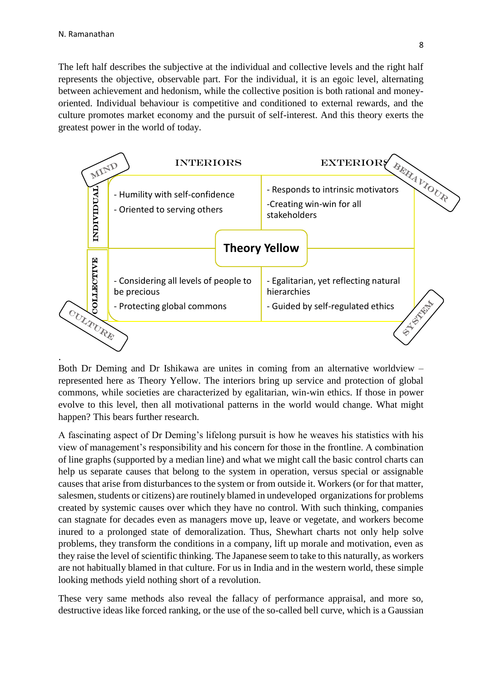The left half describes the subjective at the individual and collective levels and the right half represents the objective, observable part. For the individual, it is an egoic level, alternating between achievement and hedonism, while the collective position is both rational and moneyoriented. Individual behaviour is competitive and conditioned to external rewards, and the culture promotes market economy and the pursuit of self-interest. And this theory exerts the greatest power in the world of today.



Both Dr Deming and Dr Ishikawa are unites in coming from an alternative worldview – represented here as Theory Yellow. The interiors bring up service and protection of global commons, while societies are characterized by egalitarian, win-win ethics. If those in power evolve to this level, then all motivational patterns in the world would change. What might happen? This bears further research.

A fascinating aspect of Dr Deming's lifelong pursuit is how he weaves his statistics with his view of management's responsibility and his concern for those in the frontline. A combination of line graphs (supported by a median line) and what we might call the basic control charts can help us separate causes that belong to the system in operation, versus special or assignable causes that arise from disturbances to the system or from outside it. Workers (or for that matter, salesmen, students or citizens) are routinely blamed in undeveloped organizations for problems created by systemic causes over which they have no control. With such thinking, companies can stagnate for decades even as managers move up, leave or vegetate, and workers become inured to a prolonged state of demoralization. Thus, Shewhart charts not only help solve problems, they transform the conditions in a company, lift up morale and motivation, even as they raise the level of scientific thinking. The Japanese seem to take to this naturally, as workers are not habitually blamed in that culture. For us in India and in the western world, these simple looking methods yield nothing short of a revolution.

These very same methods also reveal the fallacy of performance appraisal, and more so, destructive ideas like forced ranking, or the use of the so-called bell curve, which is a Gaussian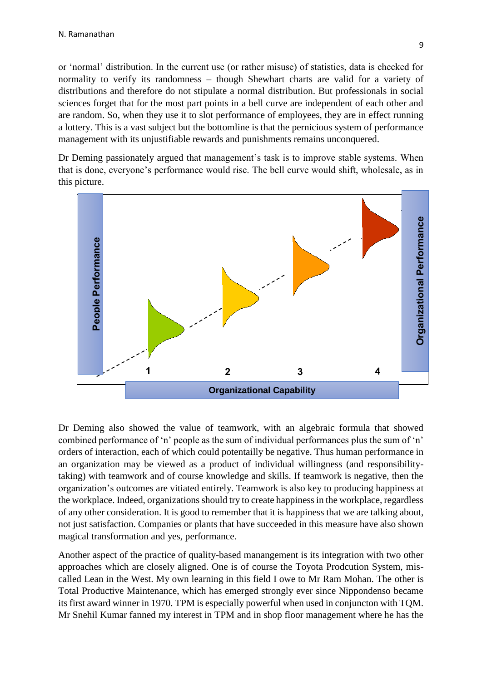or 'normal' distribution. In the current use (or rather misuse) of statistics, data is checked for normality to verify its randomness – though Shewhart charts are valid for a variety of distributions and therefore do not stipulate a normal distribution. But professionals in social sciences forget that for the most part points in a bell curve are independent of each other and are random. So, when they use it to slot performance of employees, they are in effect running a lottery. This is a vast subject but the bottomline is that the pernicious system of performance management with its unjustifiable rewards and punishments remains unconquered.

Dr Deming passionately argued that management's task is to improve stable systems. When that is done, everyone's performance would rise. The bell curve would shift, wholesale, as in this picture.



Dr Deming also showed the value of teamwork, with an algebraic formula that showed combined performance of 'n' people as the sum of individual performances plus the sum of 'n' orders of interaction, each of which could potentailly be negative. Thus human performance in an organization may be viewed as a product of individual willingness (and responsibilitytaking) with teamwork and of course knowledge and skills. If teamwork is negative, then the organization's outcomes are vitiated entirely. Teamwork is also key to producing happiness at the workplace. Indeed, organizations should try to create happiness in the workplace, regardless of any other consideration. It is good to remember that it is happiness that we are talking about, not just satisfaction. Companies or plants that have succeeded in this measure have also shown magical transformation and yes, performance.

Another aspect of the practice of quality-based manangement is its integration with two other approaches which are closely aligned. One is of course the Toyota Prodcution System, miscalled Lean in the West. My own learning in this field I owe to Mr Ram Mohan. The other is Total Productive Maintenance, which has emerged strongly ever since Nippondenso became its first award winner in 1970. TPM is especially powerful when used in conjuncton with TQM. Mr Snehil Kumar fanned my interest in TPM and in shop floor management where he has the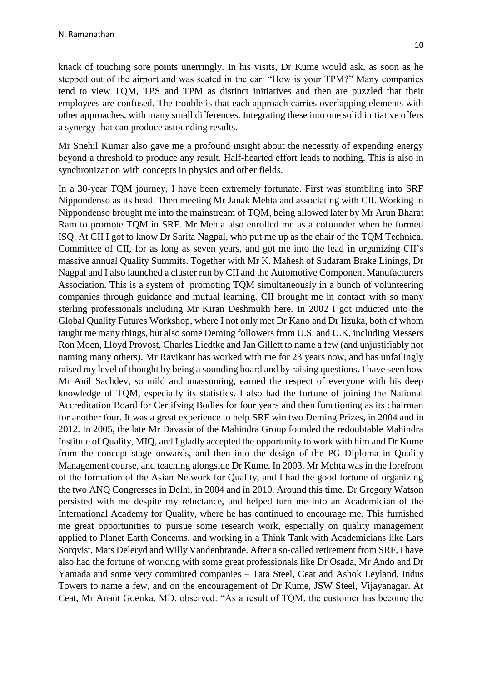knack of touching sore points unerringly. In his visits, Dr Kume would ask, as soon as he stepped out of the airport and was seated in the car: "How is your TPM?" Many companies tend to view TQM, TPS and TPM as distinct initiatives and then are puzzled that their employees are confused. The trouble is that each approach carries overlapping elements with other approaches, with many small differences. Integrating these into one solid initiative offers a synergy that can produce astounding results.

Mr Snehil Kumar also gave me a profound insight about the necessity of expending energy beyond a threshold to produce any result. Half-hearted effort leads to nothing. This is also in synchronization with concepts in physics and other fields.

In a 30-year TQM journey, I have been extremely fortunate. First was stumbling into SRF Nippondenso as its head. Then meeting Mr Janak Mehta and associating with CII. Working in Nippondenso brought me into the mainstream of TQM, being allowed later by Mr Arun Bharat Ram to promote TQM in SRF. Mr Mehta also enrolled me as a cofounder when he formed ISQ. At CII I got to know Dr Sarita Nagpal, who put me up as the chair of the TQM Technical Committee of CII, for as long as seven years, and got me into the lead in organizing CII's massive annual Quality Summits. Together with Mr K. Mahesh of Sudaram Brake Linings, Dr Nagpal and I also launched a cluster run by CII and the Automotive Component Manufacturers Association. This is a system of promoting TQM simultaneously in a bunch of volunteering companies through guidance and mutual learning. CII brought me in contact with so many sterling professionals including Mr Kiran Deshmukh here. In 2002 I got inducted into the Global Quality Futures Workshop, where I not only met Dr Kano and Dr Iizuka, both of whom taught me many things, but also some Deming followers from U.S. and U.K, including Messers Ron Moen, Lloyd Provost, Charles Liedtke and Jan Gillett to name a few (and unjustifiably not naming many others). Mr Ravikant has worked with me for 23 years now, and has unfailingly raised my level of thought by being a sounding board and by raising questions. I have seen how Mr Anil Sachdev, so mild and unassuming, earned the respect of everyone with his deep knowledge of TQM, especially its statistics. I also had the fortune of joining the National Accreditation Board for Certifying Bodies for four years and then functioning as its chairman for another four. It was a great experience to help SRF win two Deming Prizes, in 2004 and in 2012. In 2005, the late Mr Davasia of the Mahindra Group founded the redoubtable Mahindra Institute of Quality, MIQ, and I gladly accepted the opportunity to work with him and Dr Kume from the concept stage onwards, and then into the design of the PG Diploma in Quality Management course, and teaching alongside Dr Kume. In 2003, Mr Mehta was in the forefront of the formation of the Asian Network for Quality, and I had the good fortune of organizing the two ANQ Congresses in Delhi, in 2004 and in 2010. Around this time, Dr Gregory Watson persisted with me despite my reluctance, and helped turn me into an Academician of the International Academy for Quality, where he has continued to encourage me. This furnished me great opportunities to pursue some research work, especially on quality management applied to Planet Earth Concerns, and working in a Think Tank with Academicians like Lars Sorqvist, Mats Deleryd and Willy Vandenbrande. After a so-called retirement from SRF, I have also had the fortune of working with some great professionals like Dr Osada, Mr Ando and Dr Yamada and some very committed companies – Tata Steel, Ceat and Ashok Leyland, Indus Towers to name a few, and on the encouragement of Dr Kume, JSW Steel, Vijayanagar. At Ceat, Mr Anant Goenka, MD, observed: "As a result of TQM, the customer has become the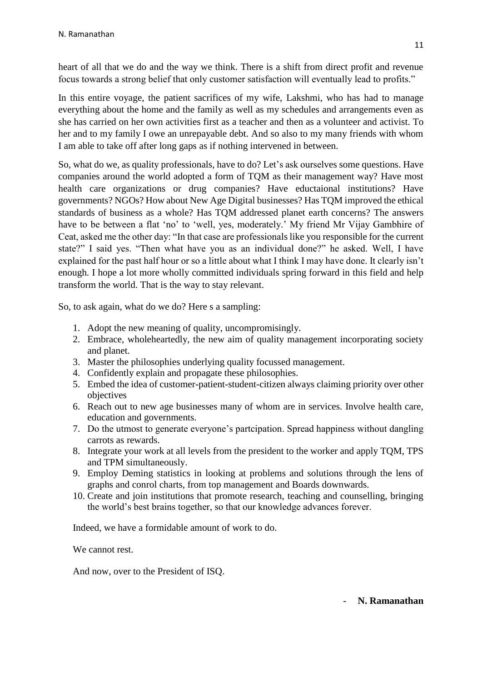heart of all that we do and the way we think. There is a shift from direct profit and revenue focus towards a strong belief that only customer satisfaction will eventually lead to profits."

In this entire voyage, the patient sacrifices of my wife, Lakshmi, who has had to manage everything about the home and the family as well as my schedules and arrangements even as she has carried on her own activities first as a teacher and then as a volunteer and activist. To her and to my family I owe an unrepayable debt. And so also to my many friends with whom I am able to take off after long gaps as if nothing intervened in between.

So, what do we, as quality professionals, have to do? Let's ask ourselves some questions. Have companies around the world adopted a form of TQM as their management way? Have most health care organizations or drug companies? Have eductaional institutions? Have governments? NGOs? How about New Age Digital businesses? Has TQM improved the ethical standards of business as a whole? Has TQM addressed planet earth concerns? The answers have to be between a flat 'no' to 'well, yes, moderately.' My friend Mr Vijay Gambhire of Ceat, asked me the other day: "In that case are professionals like you responsible for the current state?" I said yes. "Then what have you as an individual done?" he asked. Well, I have explained for the past half hour or so a little about what I think I may have done. It clearly isn't enough. I hope a lot more wholly committed individuals spring forward in this field and help transform the world. That is the way to stay relevant.

So, to ask again, what do we do? Here s a sampling:

- 1. Adopt the new meaning of quality, uncompromisingly.
- 2. Embrace, wholeheartedly, the new aim of quality management incorporating society and planet.
- 3. Master the philosophies underlying quality focussed management.
- 4. Confidently explain and propagate these philosophies.
- 5. Embed the idea of customer-patient-student-citizen always claiming priority over other objectives
- 6. Reach out to new age businesses many of whom are in services. Involve health care, education and governments.
- 7. Do the utmost to generate everyone's partcipation. Spread happiness without dangling carrots as rewards.
- 8. Integrate your work at all levels from the president to the worker and apply TQM, TPS and TPM simultaneously.
- 9. Employ Deming statistics in looking at problems and solutions through the lens of graphs and conrol charts, from top management and Boards downwards.
- 10. Create and join institutions that promote research, teaching and counselling, bringing the world's best brains together, so that our knowledge advances forever.

Indeed, we have a formidable amount of work to do.

We cannot rest.

And now, over to the President of ISQ.